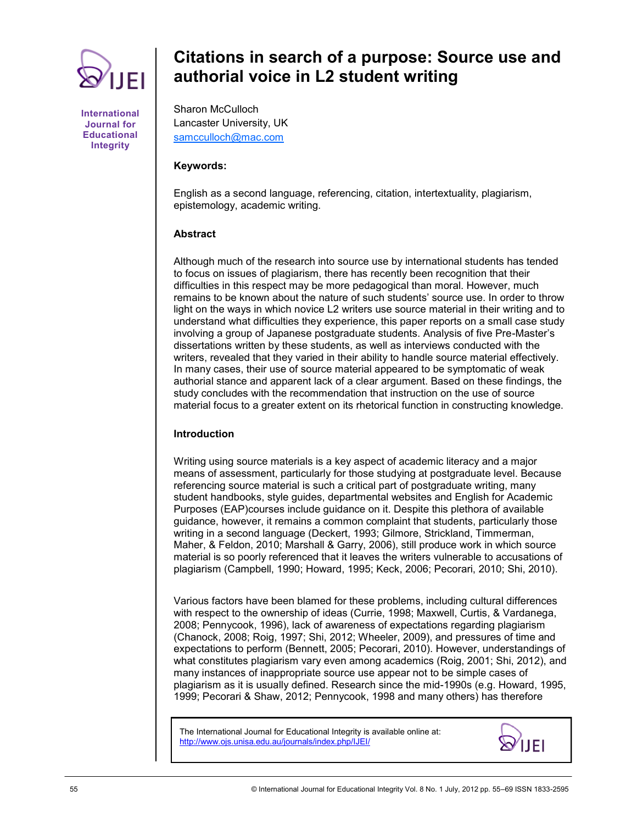

**International Journal for Educational Integrity**

# **Citations in search of a purpose: Source use and authorial voice in L2 student writing**

Sharon McCulloch Lancaster University, UK [samcculloch@mac.com](mailto:samcculloch@mac.com)

## **Keywords:**

English as a second language, referencing, citation, intertextuality, plagiarism, epistemology, academic writing.

## **Abstract**

Although much of the research into source use by international students has tended to focus on issues of plagiarism, there has recently been recognition that their difficulties in this respect may be more pedagogical than moral. However, much remains to be known about the nature of such students" source use. In order to throw light on the ways in which novice L2 writers use source material in their writing and to understand what difficulties they experience, this paper reports on a small case study involving a group of Japanese postgraduate students. Analysis of five Pre-Master"s dissertations written by these students, as well as interviews conducted with the writers, revealed that they varied in their ability to handle source material effectively. In many cases, their use of source material appeared to be symptomatic of weak authorial stance and apparent lack of a clear argument. Based on these findings, the study concludes with the recommendation that instruction on the use of source material focus to a greater extent on its rhetorical function in constructing knowledge.

#### **Introduction**

Writing using source materials is a key aspect of academic literacy and a major means of assessment, particularly for those studying at postgraduate level. Because referencing source material is such a critical part of postgraduate writing, many student handbooks, style guides, departmental websites and English for Academic Purposes (EAP)courses include guidance on it. Despite this plethora of available guidance, however, it remains a common complaint that students, particularly those writing in a second language (Deckert, 1993; Gilmore, Strickland, Timmerman, Maher, & Feldon, 2010; Marshall & Garry, 2006), still produce work in which source material is so poorly referenced that it leaves the writers vulnerable to accusations of plagiarism (Campbell, 1990; Howard, 1995; Keck, 2006; Pecorari, 2010; Shi, 2010).

Various factors have been blamed for these problems, including cultural differences with respect to the ownership of ideas (Currie, 1998; Maxwell, Curtis, & Vardanega, 2008; Pennycook, 1996), lack of awareness of expectations regarding plagiarism (Chanock, 2008; Roig, 1997; Shi, 2012; Wheeler, 2009), and pressures of time and expectations to perform (Bennett, 2005; Pecorari, 2010). However, understandings of what constitutes plagiarism vary even among academics (Roig, 2001; Shi, 2012), and many instances of inappropriate source use appear not to be simple cases of plagiarism as it is usually defined. Research since the mid-1990s (e.g. Howard, 1995, 1999; Pecorari & Shaw, 2012; Pennycook, 1998 and many others) has therefore

The International Journal for Educational Integrity is available online at: http://www.ojs.unisa.edu.au/journals/index.php/IJEI/

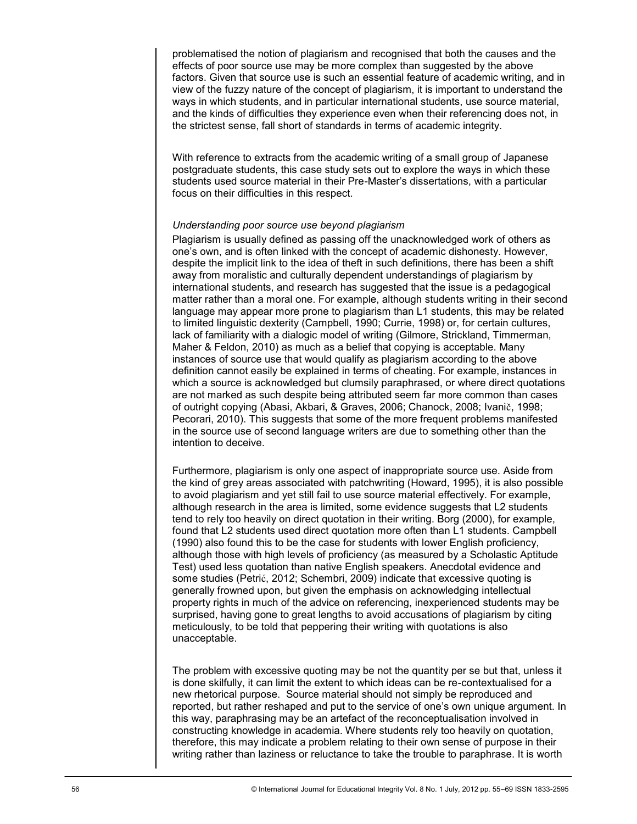problematised the notion of plagiarism and recognised that both the causes and the effects of poor source use may be more complex than suggested by the above factors. Given that source use is such an essential feature of academic writing, and in view of the fuzzy nature of the concept of plagiarism, it is important to understand the ways in which students, and in particular international students, use source material, and the kinds of difficulties they experience even when their referencing does not, in the strictest sense, fall short of standards in terms of academic integrity.

With reference to extracts from the academic writing of a small group of Japanese postgraduate students, this case study sets out to explore the ways in which these students used source material in their Pre-Master"s dissertations, with a particular focus on their difficulties in this respect.

#### *Understanding poor source use beyond plagiarism*

Plagiarism is usually defined as passing off the unacknowledged work of others as one"s own, and is often linked with the concept of academic dishonesty. However, despite the implicit link to the idea of theft in such definitions, there has been a shift away from moralistic and culturally dependent understandings of plagiarism by international students, and research has suggested that the issue is a pedagogical matter rather than a moral one. For example, although students writing in their second language may appear more prone to plagiarism than L1 students, this may be related to limited linguistic dexterity (Campbell, 1990; Currie, 1998) or, for certain cultures, lack of familiarity with a dialogic model of writing (Gilmore, Strickland, Timmerman, Maher & Feldon, 2010) as much as a belief that copying is acceptable. Many instances of source use that would qualify as plagiarism according to the above definition cannot easily be explained in terms of cheating. For example, instances in which a source is acknowledged but clumsily paraphrased, or where direct quotations are not marked as such despite being attributed seem far more common than cases of outright copying (Abasi, Akbari, & Graves, 2006; Chanock, 2008; Ivanič, 1998; Pecorari, 2010). This suggests that some of the more frequent problems manifested in the source use of second language writers are due to something other than the intention to deceive.

Furthermore, plagiarism is only one aspect of inappropriate source use. Aside from the kind of grey areas associated with patchwriting (Howard, 1995), it is also possible to avoid plagiarism and yet still fail to use source material effectively. For example, although research in the area is limited, some evidence suggests that L2 students tend to rely too heavily on direct quotation in their writing. Borg (2000), for example, found that L2 students used direct quotation more often than L1 students. Campbell (1990) also found this to be the case for students with lower English proficiency, although those with high levels of proficiency (as measured by a Scholastic Aptitude Test) used less quotation than native English speakers. Anecdotal evidence and some studies (Petrić, 2012; Schembri, 2009) indicate that excessive quoting is generally frowned upon, but given the emphasis on acknowledging intellectual property rights in much of the advice on referencing, inexperienced students may be surprised, having gone to great lengths to avoid accusations of plagiarism by citing meticulously, to be told that peppering their writing with quotations is also unacceptable.

The problem with excessive quoting may be not the quantity per se but that, unless it is done skilfully, it can limit the extent to which ideas can be re-contextualised for a new rhetorical purpose. Source material should not simply be reproduced and reported, but rather reshaped and put to the service of one"s own unique argument. In this way, paraphrasing may be an artefact of the reconceptualisation involved in constructing knowledge in academia. Where students rely too heavily on quotation, therefore, this may indicate a problem relating to their own sense of purpose in their writing rather than laziness or reluctance to take the trouble to paraphrase. It is worth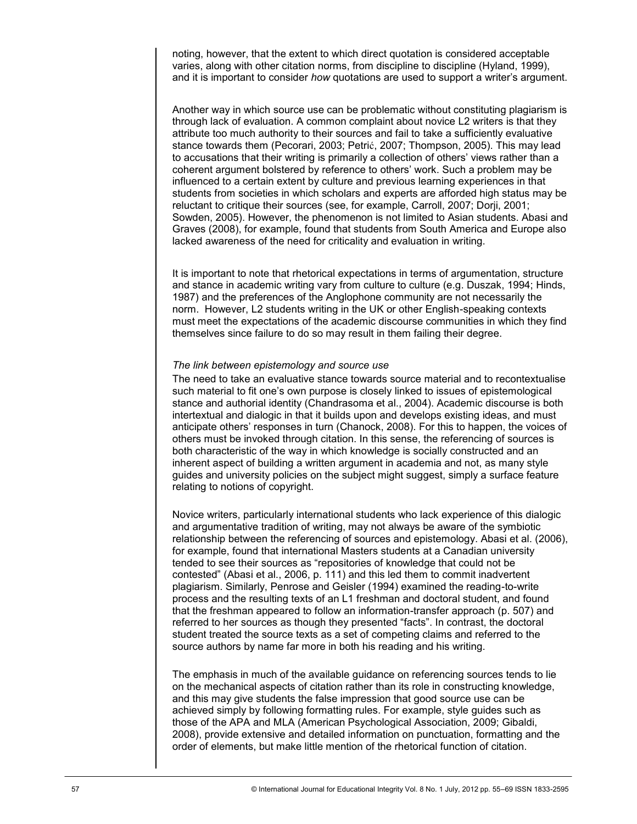noting, however, that the extent to which direct quotation is considered acceptable varies, along with other citation norms, from discipline to discipline (Hyland, 1999), and it is important to consider *how* quotations are used to support a writer"s argument.

Another way in which source use can be problematic without constituting plagiarism is through lack of evaluation. A common complaint about novice L2 writers is that they attribute too much authority to their sources and fail to take a sufficiently evaluative stance towards them (Pecorari, 2003; Petrić, 2007; Thompson, 2005). This may lead to accusations that their writing is primarily a collection of others" views rather than a coherent argument bolstered by reference to others" work. Such a problem may be influenced to a certain extent by culture and previous learning experiences in that students from societies in which scholars and experts are afforded high status may be reluctant to critique their sources (see, for example, Carroll, 2007; Dorji, 2001; Sowden, 2005). However, the phenomenon is not limited to Asian students. Abasi and Graves (2008), for example, found that students from South America and Europe also lacked awareness of the need for criticality and evaluation in writing.

It is important to note that rhetorical expectations in terms of argumentation, structure and stance in academic writing vary from culture to culture (e.g. Duszak, 1994; Hinds, 1987) and the preferences of the Anglophone community are not necessarily the norm. However, L2 students writing in the UK or other English-speaking contexts must meet the expectations of the academic discourse communities in which they find themselves since failure to do so may result in them failing their degree.

#### *The link between epistemology and source use*

The need to take an evaluative stance towards source material and to recontextualise such material to fit one"s own purpose is closely linked to issues of epistemological stance and authorial identity (Chandrasoma et al., 2004). Academic discourse is both intertextual and dialogic in that it builds upon and develops existing ideas, and must anticipate others" responses in turn (Chanock, 2008). For this to happen, the voices of others must be invoked through citation. In this sense, the referencing of sources is both characteristic of the way in which knowledge is socially constructed and an inherent aspect of building a written argument in academia and not, as many style guides and university policies on the subject might suggest, simply a surface feature relating to notions of copyright.

Novice writers, particularly international students who lack experience of this dialogic and argumentative tradition of writing, may not always be aware of the symbiotic relationship between the referencing of sources and epistemology. Abasi et al. (2006), for example, found that international Masters students at a Canadian university tended to see their sources as "repositories of knowledge that could not be contested" (Abasi et al., 2006, p. 111) and this led them to commit inadvertent plagiarism. Similarly, Penrose and Geisler (1994) examined the reading-to-write process and the resulting texts of an L1 freshman and doctoral student, and found that the freshman appeared to follow an information-transfer approach (p. 507) and referred to her sources as though they presented "facts". In contrast, the doctoral student treated the source texts as a set of competing claims and referred to the source authors by name far more in both his reading and his writing.

The emphasis in much of the available guidance on referencing sources tends to lie on the mechanical aspects of citation rather than its role in constructing knowledge, and this may give students the false impression that good source use can be achieved simply by following formatting rules. For example, style guides such as those of the APA and MLA (American Psychological Association, 2009; Gibaldi, 2008), provide extensive and detailed information on punctuation, formatting and the order of elements, but make little mention of the rhetorical function of citation.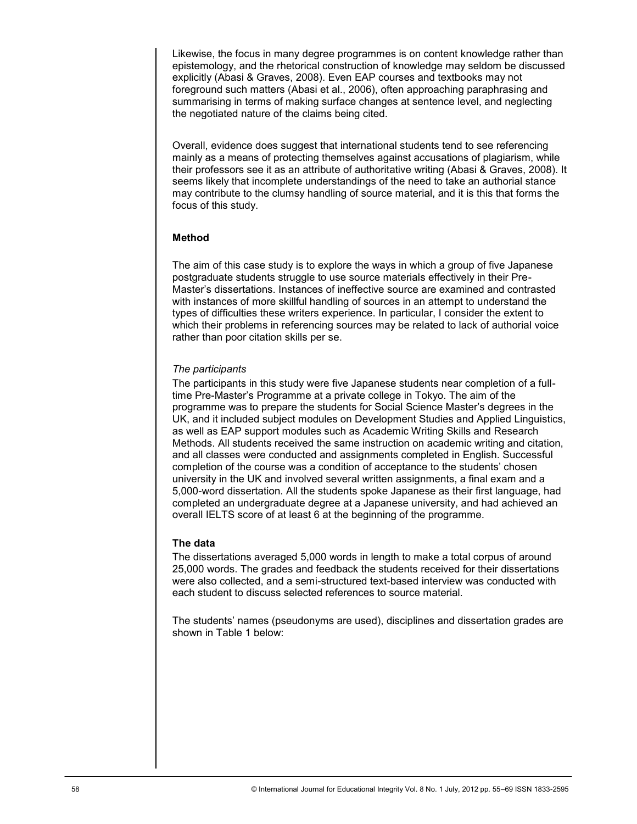Likewise, the focus in many degree programmes is on content knowledge rather than epistemology, and the rhetorical construction of knowledge may seldom be discussed explicitly (Abasi & Graves, 2008). Even EAP courses and textbooks may not foreground such matters (Abasi et al., 2006), often approaching paraphrasing and summarising in terms of making surface changes at sentence level, and neglecting the negotiated nature of the claims being cited.

Overall, evidence does suggest that international students tend to see referencing mainly as a means of protecting themselves against accusations of plagiarism, while their professors see it as an attribute of authoritative writing (Abasi & Graves, 2008). It seems likely that incomplete understandings of the need to take an authorial stance may contribute to the clumsy handling of source material, and it is this that forms the focus of this study.

# **Method**

The aim of this case study is to explore the ways in which a group of five Japanese postgraduate students struggle to use source materials effectively in their Pre-Master"s dissertations. Instances of ineffective source are examined and contrasted with instances of more skillful handling of sources in an attempt to understand the types of difficulties these writers experience. In particular, I consider the extent to which their problems in referencing sources may be related to lack of authorial voice rather than poor citation skills per se.

# *The participants*

The participants in this study were five Japanese students near completion of a fulltime Pre-Master"s Programme at a private college in Tokyo. The aim of the programme was to prepare the students for Social Science Master"s degrees in the UK, and it included subject modules on Development Studies and Applied Linguistics, as well as EAP support modules such as Academic Writing Skills and Research Methods. All students received the same instruction on academic writing and citation, and all classes were conducted and assignments completed in English. Successful completion of the course was a condition of acceptance to the students" chosen university in the UK and involved several written assignments, a final exam and a 5,000-word dissertation. All the students spoke Japanese as their first language, had completed an undergraduate degree at a Japanese university, and had achieved an overall IELTS score of at least 6 at the beginning of the programme.

# **The data**

The dissertations averaged 5,000 words in length to make a total corpus of around 25,000 words. The grades and feedback the students received for their dissertations were also collected, and a semi-structured text-based interview was conducted with each student to discuss selected references to source material.

The students" names (pseudonyms are used), disciplines and dissertation grades are shown in Table 1 below: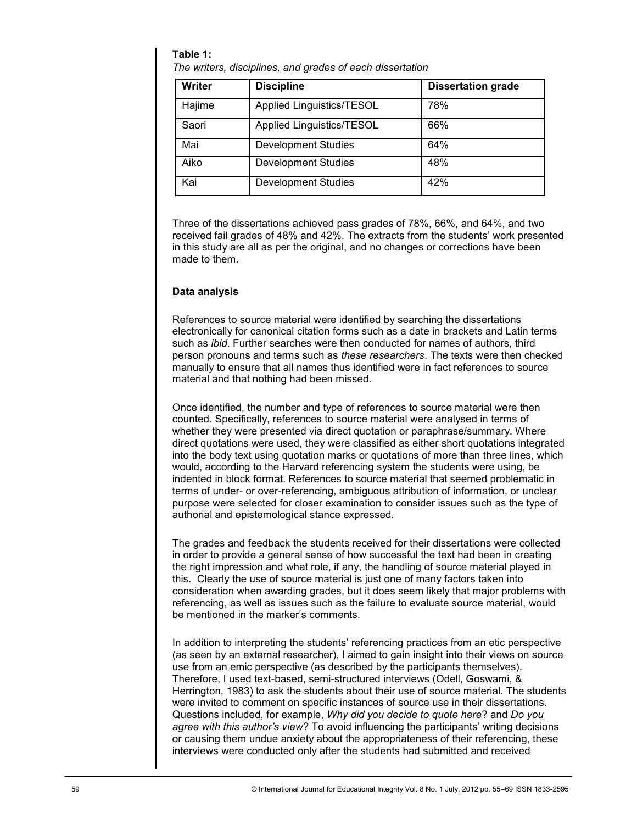#### **Table 1:**

*The writers, disciplines, and grades of each dissertation*

| Writer | <b>Discipline</b>                | <b>Dissertation grade</b> |
|--------|----------------------------------|---------------------------|
| Hajime | <b>Applied Linguistics/TESOL</b> | 78%                       |
| Saori  | <b>Applied Linguistics/TESOL</b> | 66%                       |
| Mai    | <b>Development Studies</b>       | 64%                       |
| Aiko   | <b>Development Studies</b>       | 48%                       |
| Kai    | <b>Development Studies</b>       | 42%                       |

Three of the dissertations achieved pass grades of 78%, 66%, and 64%, and two received fail grades of 48% and 42%. The extracts from the students' work presented in this study are all as per the original, and no changes or corrections have been made to them.

## **Data analysis**

References to source material were identified by searching the dissertations electronically for canonical citation forms such as a date in brackets and Latin terms such as *ibid*. Further searches were then conducted for names of authors, third person pronouns and terms such as *these researchers*. The texts were then checked manually to ensure that all names thus identified were in fact references to source material and that nothing had been missed.

Once identified, the number and type of references to source material were then counted. Specifically, references to source material were analysed in terms of whether they were presented via direct quotation or paraphrase/summary. Where direct quotations were used, they were classified as either short quotations integrated into the body text using quotation marks or quotations of more than three lines, which would, according to the Harvard referencing system the students were using, be indented in block format. References to source material that seemed problematic in terms of under- or over-referencing, ambiguous attribution of information, or unclear purpose were selected for closer examination to consider issues such as the type of authorial and epistemological stance expressed.

The grades and feedback the students received for their dissertations were collected in order to provide a general sense of how successful the text had been in creating the right impression and what role, if any, the handling of source material played in this. Clearly the use of source material is just one of many factors taken into consideration when awarding grades, but it does seem likely that major problems with referencing, as well as issues such as the failure to evaluate source material, would be mentioned in the marker"s comments.

In addition to interpreting the students" referencing practices from an etic perspective (as seen by an external researcher), I aimed to gain insight into their views on source use from an emic perspective (as described by the participants themselves). Therefore, I used text-based, semi-structured interviews (Odell, Goswami, & Herrington, 1983) to ask the students about their use of source material. The students were invited to comment on specific instances of source use in their dissertations. Questions included, for example, *Why did you decide to quote here*? and *Do you*  agree with this author's view? To avoid influencing the participants' writing decisions or causing them undue anxiety about the appropriateness of their referencing, these interviews were conducted only after the students had submitted and received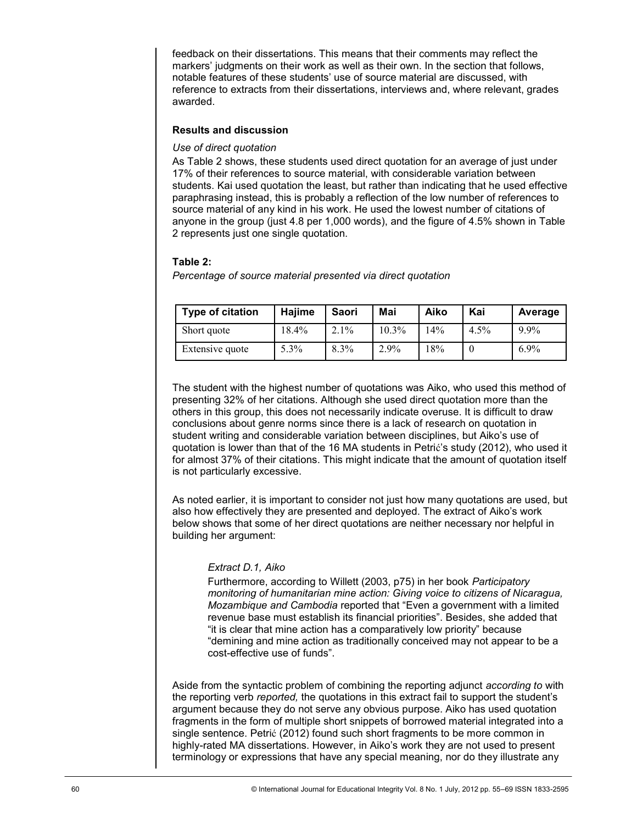feedback on their dissertations. This means that their comments may reflect the markers' judgments on their work as well as their own. In the section that follows, notable features of these students" use of source material are discussed, with reference to extracts from their dissertations, interviews and, where relevant, grades awarded.

## **Results and discussion**

#### *Use of direct quotation*

As Table 2 shows, these students used direct quotation for an average of just under 17% of their references to source material, with considerable variation between students. Kai used quotation the least, but rather than indicating that he used effective paraphrasing instead, this is probably a reflection of the low number of references to source material of any kind in his work. He used the lowest number of citations of anyone in the group (just 4.8 per 1,000 words), and the figure of 4.5% shown in Table 2 represents just one single quotation.

## **Table 2:**

*Percentage of source material presented via direct quotation*

| <b>Type of citation</b> | Hajime | Saori   | Mai      | Aiko | Kai     | Average |
|-------------------------|--------|---------|----------|------|---------|---------|
| Short quote             | 18.4%  | $2.1\%$ | $10.3\%$ | 14%  | $4.5\%$ | 9.9%    |
| Extensive quote         | 5.3%   | 8.3%    | 2.9%     | 8%   |         | $6.9\%$ |

The student with the highest number of quotations was Aiko, who used this method of presenting 32% of her citations. Although she used direct quotation more than the others in this group, this does not necessarily indicate overuse. It is difficult to draw conclusions about genre norms since there is a lack of research on quotation in student writing and considerable variation between disciplines, but Aiko"s use of quotation is lower than that of the 16 MA students in Petrić"s study (2012), who used it for almost 37% of their citations. This might indicate that the amount of quotation itself is not particularly excessive.

As noted earlier, it is important to consider not just how many quotations are used, but also how effectively they are presented and deployed. The extract of Aiko"s work below shows that some of her direct quotations are neither necessary nor helpful in building her argument:

# *Extract D.1, Aiko*

Furthermore, according to Willett (2003, p75) in her book *Participatory monitoring of humanitarian mine action: Giving voice to citizens of Nicaragua, Mozambique and Cambodia* reported that "Even a government with a limited revenue base must establish its financial priorities". Besides, she added that "it is clear that mine action has a comparatively low priority" because "demining and mine action as traditionally conceived may not appear to be a cost-effective use of funds".

Aside from the syntactic problem of combining the reporting adjunct *according to* with the reporting verb *reported,* the quotations in this extract fail to support the student"s argument because they do not serve any obvious purpose. Aiko has used quotation fragments in the form of multiple short snippets of borrowed material integrated into a single sentence. Petrić (2012) found such short fragments to be more common in highly-rated MA dissertations. However, in Aiko's work they are not used to present terminology or expressions that have any special meaning, nor do they illustrate any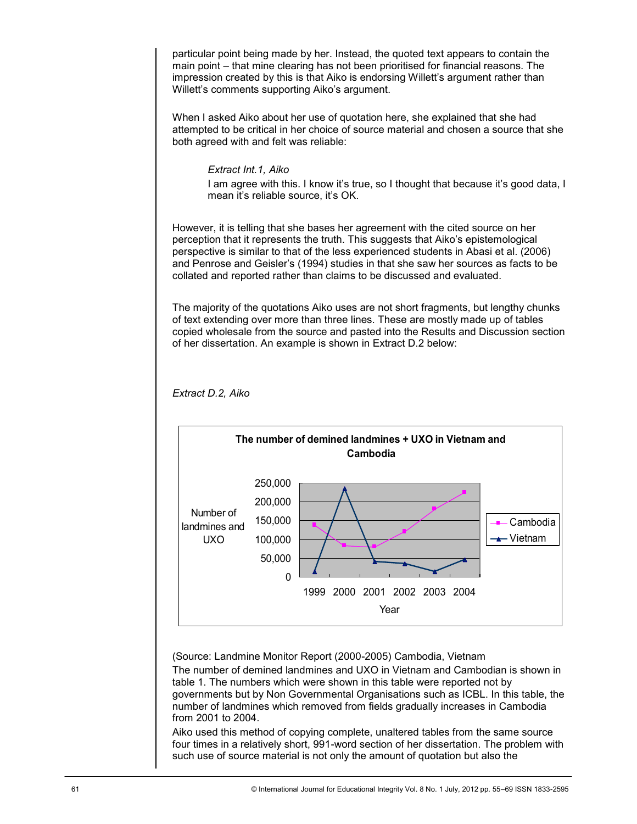particular point being made by her. Instead, the quoted text appears to contain the main point – that mine clearing has not been prioritised for financial reasons. The impression created by this is that Aiko is endorsing Willett"s argument rather than Willett's comments supporting Aiko's argument.

When I asked Aiko about her use of quotation here, she explained that she had attempted to be critical in her choice of source material and chosen a source that she both agreed with and felt was reliable:

## *Extract Int.1, Aiko*

I am agree with this. I know it's true, so I thought that because it's good data, I mean it's reliable source, it's OK.

However, it is telling that she bases her agreement with the cited source on her perception that it represents the truth. This suggests that Aiko"s epistemological perspective is similar to that of the less experienced students in Abasi et al. (2006) and Penrose and Geisler"s (1994) studies in that she saw her sources as facts to be collated and reported rather than claims to be discussed and evaluated.

The majority of the quotations Aiko uses are not short fragments, but lengthy chunks of text extending over more than three lines. These are mostly made up of tables copied wholesale from the source and pasted into the Results and Discussion section of her dissertation. An example is shown in Extract D.2 below:



*Extract D.2, Aiko*

(Source: Landmine Monitor Report (2000-2005) Cambodia, Vietnam

The number of demined landmines and UXO in Vietnam and Cambodian is shown in table 1. The numbers which were shown in this table were reported not by governments but by Non Governmental Organisations such as ICBL. In this table, the number of landmines which removed from fields gradually increases in Cambodia from 2001 to 2004.

Aiko used this method of copying complete, unaltered tables from the same source four times in a relatively short, 991-word section of her dissertation. The problem with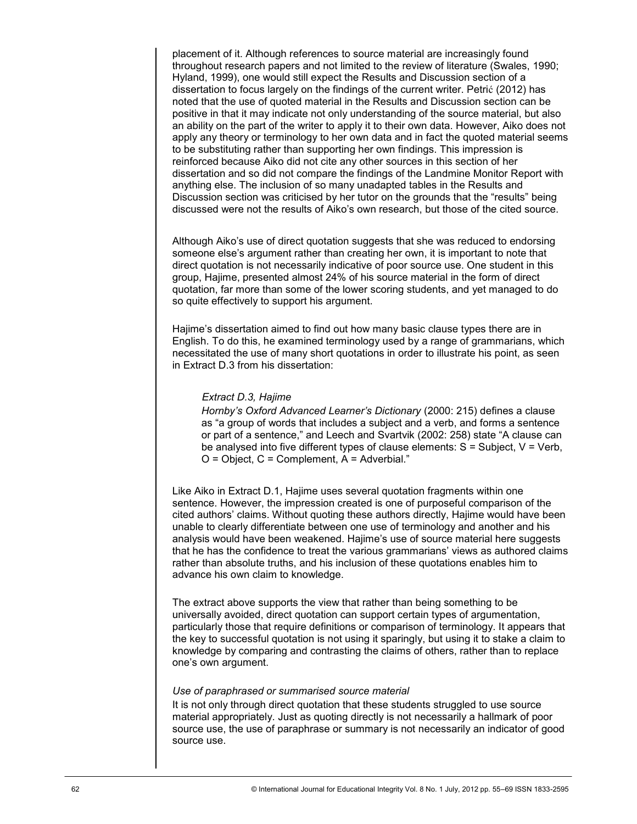placement of it. Although references to source material are increasingly found throughout research papers and not limited to the review of literature (Swales, 1990; Hyland, 1999), one would still expect the Results and Discussion section of a dissertation to focus largely on the findings of the current writer. Petrić (2012) has noted that the use of quoted material in the Results and Discussion section can be positive in that it may indicate not only understanding of the source material, but also an ability on the part of the writer to apply it to their own data. However, Aiko does not apply any theory or terminology to her own data and in fact the quoted material seems to be substituting rather than supporting her own findings. This impression is reinforced because Aiko did not cite any other sources in this section of her dissertation and so did not compare the findings of the Landmine Monitor Report with anything else. The inclusion of so many unadapted tables in the Results and Discussion section was criticised by her tutor on the grounds that the "results" being discussed were not the results of Aiko"s own research, but those of the cited source.

Although Aiko"s use of direct quotation suggests that she was reduced to endorsing someone else's argument rather than creating her own, it is important to note that direct quotation is not necessarily indicative of poor source use. One student in this group, Hajime, presented almost 24% of his source material in the form of direct quotation, far more than some of the lower scoring students, and yet managed to do so quite effectively to support his argument.

Hajime's dissertation aimed to find out how many basic clause types there are in English. To do this, he examined terminology used by a range of grammarians, which necessitated the use of many short quotations in order to illustrate his point, as seen in Extract D.3 from his dissertation:

#### *Extract D.3, Hajime*

*Hornby's Oxford Advanced Learner's Dictionary* (2000: 215) defines a clause as "a group of words that includes a subject and a verb, and forms a sentence or part of a sentence," and Leech and Svartvik (2002: 258) state "A clause can be analysed into five different types of clause elements:  $S =$  Subject,  $V =$  Verb,  $O = Object$ ,  $C = Complete$  = Adverbial."

Like Aiko in Extract D.1, Hajime uses several quotation fragments within one sentence. However, the impression created is one of purposeful comparison of the cited authors" claims. Without quoting these authors directly, Hajime would have been unable to clearly differentiate between one use of terminology and another and his analysis would have been weakened. Hajime"s use of source material here suggests that he has the confidence to treat the various grammarians" views as authored claims rather than absolute truths, and his inclusion of these quotations enables him to advance his own claim to knowledge.

The extract above supports the view that rather than being something to be universally avoided, direct quotation can support certain types of argumentation, particularly those that require definitions or comparison of terminology. It appears that the key to successful quotation is not using it sparingly, but using it to stake a claim to knowledge by comparing and contrasting the claims of others, rather than to replace one"s own argument.

## *Use of paraphrased or summarised source material*

It is not only through direct quotation that these students struggled to use source material appropriately. Just as quoting directly is not necessarily a hallmark of poor source use, the use of paraphrase or summary is not necessarily an indicator of good source use.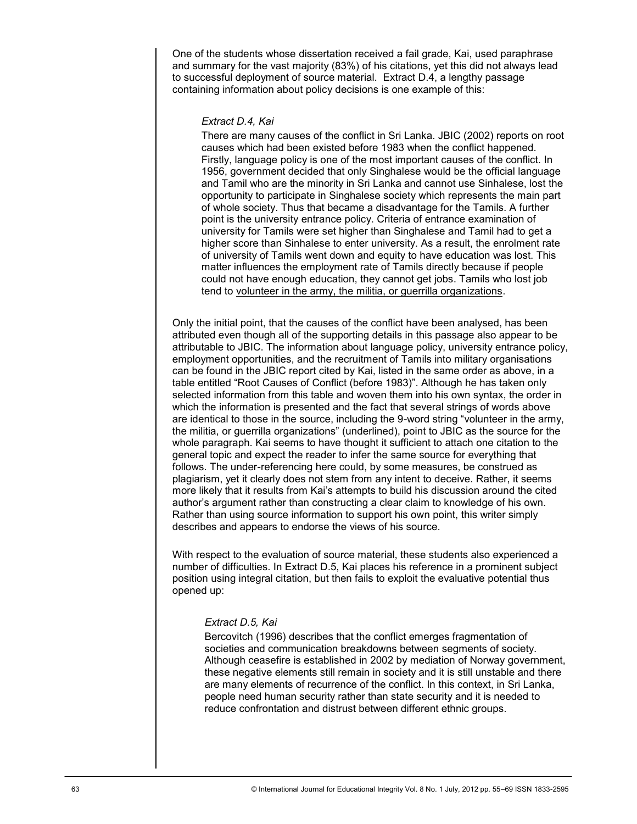One of the students whose dissertation received a fail grade, Kai, used paraphrase and summary for the vast majority (83%) of his citations, yet this did not always lead to successful deployment of source material. Extract D.4, a lengthy passage containing information about policy decisions is one example of this:

#### *Extract D.4, Kai*

There are many causes of the conflict in Sri Lanka. JBIC (2002) reports on root causes which had been existed before 1983 when the conflict happened. Firstly, language policy is one of the most important causes of the conflict. In 1956, government decided that only Singhalese would be the official language and Tamil who are the minority in Sri Lanka and cannot use Sinhalese, lost the opportunity to participate in Singhalese society which represents the main part of whole society. Thus that became a disadvantage for the Tamils. A further point is the university entrance policy. Criteria of entrance examination of university for Tamils were set higher than Singhalese and Tamil had to get a higher score than Sinhalese to enter university. As a result, the enrolment rate of university of Tamils went down and equity to have education was lost. This matter influences the employment rate of Tamils directly because if people could not have enough education, they cannot get jobs. Tamils who lost job tend to volunteer in the army, the militia, or guerrilla organizations.

Only the initial point, that the causes of the conflict have been analysed, has been attributed even though all of the supporting details in this passage also appear to be attributable to JBIC. The information about language policy, university entrance policy, employment opportunities, and the recruitment of Tamils into military organisations can be found in the JBIC report cited by Kai, listed in the same order as above, in a table entitled "Root Causes of Conflict (before 1983)". Although he has taken only selected information from this table and woven them into his own syntax, the order in which the information is presented and the fact that several strings of words above are identical to those in the source, including the 9-word string "volunteer in the army, the militia, or guerrilla organizations" (underlined), point to JBIC as the source for the whole paragraph. Kai seems to have thought it sufficient to attach one citation to the general topic and expect the reader to infer the same source for everything that follows. The under-referencing here could, by some measures, be construed as plagiarism, yet it clearly does not stem from any intent to deceive. Rather, it seems more likely that it results from Kai"s attempts to build his discussion around the cited author"s argument rather than constructing a clear claim to knowledge of his own. Rather than using source information to support his own point, this writer simply describes and appears to endorse the views of his source.

With respect to the evaluation of source material, these students also experienced a number of difficulties. In Extract D.5, Kai places his reference in a prominent subject position using integral citation, but then fails to exploit the evaluative potential thus opened up:

#### *Extract D.5, Kai*

Bercovitch (1996) describes that the conflict emerges fragmentation of societies and communication breakdowns between segments of society. Although ceasefire is established in 2002 by mediation of Norway government, these negative elements still remain in society and it is still unstable and there are many elements of recurrence of the conflict. In this context, in Sri Lanka, people need human security rather than state security and it is needed to reduce confrontation and distrust between different ethnic groups.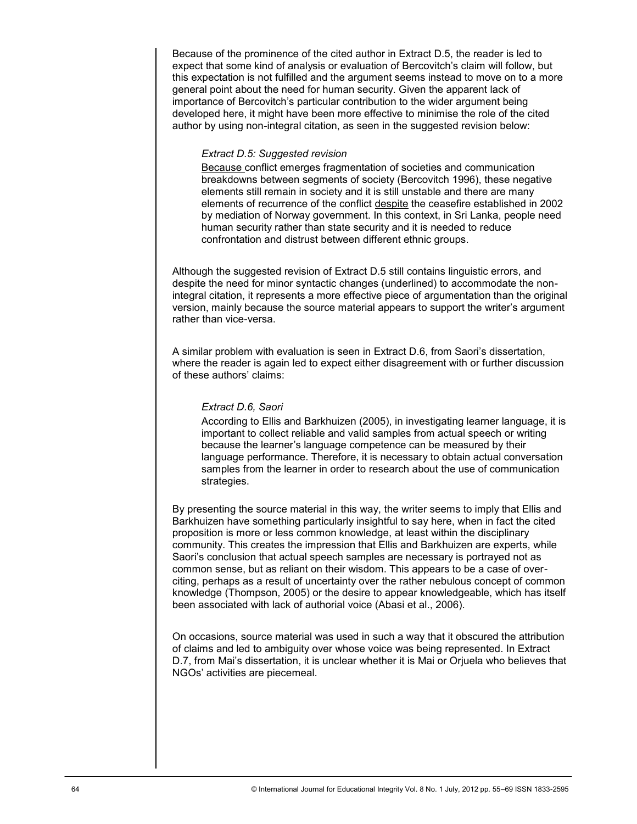Because of the prominence of the cited author in Extract D.5, the reader is led to expect that some kind of analysis or evaluation of Bercovitch's claim will follow, but this expectation is not fulfilled and the argument seems instead to move on to a more general point about the need for human security. Given the apparent lack of importance of Bercovitch"s particular contribution to the wider argument being developed here, it might have been more effective to minimise the role of the cited author by using non-integral citation, as seen in the suggested revision below:

#### *Extract D.5: Suggested revision*

Because conflict emerges fragmentation of societies and communication breakdowns between segments of society (Bercovitch 1996), these negative elements still remain in society and it is still unstable and there are many elements of recurrence of the conflict despite the ceasefire established in 2002 by mediation of Norway government. In this context, in Sri Lanka, people need human security rather than state security and it is needed to reduce confrontation and distrust between different ethnic groups.

Although the suggested revision of Extract D.5 still contains linguistic errors, and despite the need for minor syntactic changes (underlined) to accommodate the nonintegral citation, it represents a more effective piece of argumentation than the original version, mainly because the source material appears to support the writer"s argument rather than vice-versa.

A similar problem with evaluation is seen in Extract D.6, from Saori"s dissertation, where the reader is again led to expect either disagreement with or further discussion of these authors' claims:

# *Extract D.6, Saori*

According to Ellis and Barkhuizen (2005), in investigating learner language, it is important to collect reliable and valid samples from actual speech or writing because the learner"s language competence can be measured by their language performance. Therefore, it is necessary to obtain actual conversation samples from the learner in order to research about the use of communication strategies.

By presenting the source material in this way, the writer seems to imply that Ellis and Barkhuizen have something particularly insightful to say here, when in fact the cited proposition is more or less common knowledge, at least within the disciplinary community. This creates the impression that Ellis and Barkhuizen are experts, while Saori"s conclusion that actual speech samples are necessary is portrayed not as common sense, but as reliant on their wisdom. This appears to be a case of overciting, perhaps as a result of uncertainty over the rather nebulous concept of common knowledge (Thompson, 2005) or the desire to appear knowledgeable, which has itself been associated with lack of authorial voice (Abasi et al., 2006).

On occasions, source material was used in such a way that it obscured the attribution of claims and led to ambiguity over whose voice was being represented. In Extract D.7, from Mai"s dissertation, it is unclear whether it is Mai or Orjuela who believes that NGOs" activities are piecemeal.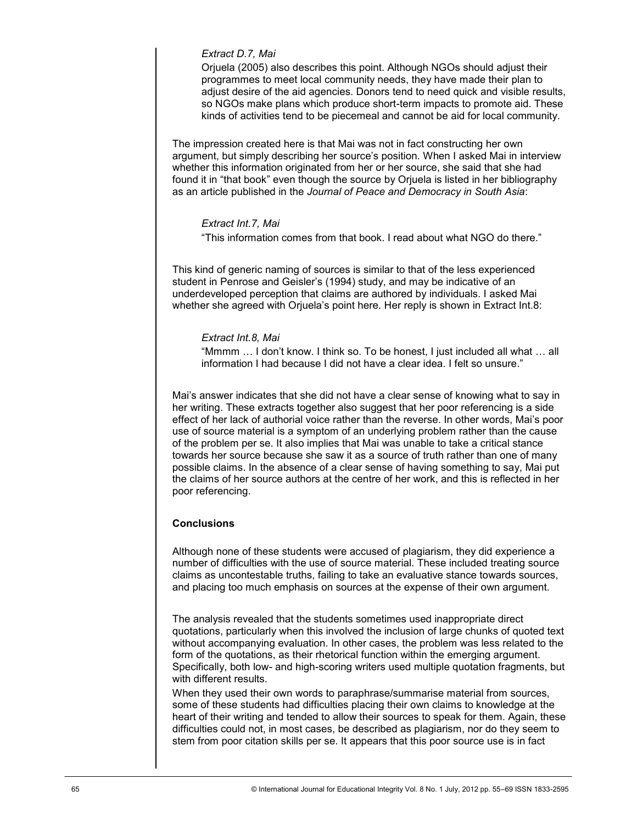## *Extract D.7, Mai*

Orjuela (2005) also describes this point. Although NGOs should adjust their programmes to meet local community needs, they have made their plan to adjust desire of the aid agencies. Donors tend to need quick and visible results, so NGOs make plans which produce short-term impacts to promote aid. These kinds of activities tend to be piecemeal and cannot be aid for local community.

The impression created here is that Mai was not in fact constructing her own argument, but simply describing her source"s position. When I asked Mai in interview whether this information originated from her or her source, she said that she had found it in "that book" even though the source by Orjuela is listed in her bibliography as an article published in the *Journal of Peace and Democracy in South Asia*:

## *Extract Int.7, Mai*

"This information comes from that book. I read about what NGO do there."

This kind of generic naming of sources is similar to that of the less experienced student in Penrose and Geisler"s (1994) study, and may be indicative of an underdeveloped perception that claims are authored by individuals. I asked Mai whether she agreed with Orjuela's point here. Her reply is shown in Extract Int.8:

#### *Extract Int.8, Mai*

"Mmmm … I don"t know. I think so. To be honest, I just included all what … all information I had because I did not have a clear idea. I felt so unsure."

Mai"s answer indicates that she did not have a clear sense of knowing what to say in her writing. These extracts together also suggest that her poor referencing is a side effect of her lack of authorial voice rather than the reverse. In other words, Mai"s poor use of source material is a symptom of an underlying problem rather than the cause of the problem per se. It also implies that Mai was unable to take a critical stance towards her source because she saw it as a source of truth rather than one of many possible claims. In the absence of a clear sense of having something to say, Mai put the claims of her source authors at the centre of her work, and this is reflected in her poor referencing.

# **Conclusions**

Although none of these students were accused of plagiarism, they did experience a number of difficulties with the use of source material. These included treating source claims as uncontestable truths, failing to take an evaluative stance towards sources, and placing too much emphasis on sources at the expense of their own argument.

The analysis revealed that the students sometimes used inappropriate direct quotations, particularly when this involved the inclusion of large chunks of quoted text without accompanying evaluation. In other cases, the problem was less related to the form of the quotations, as their rhetorical function within the emerging argument. Specifically, both low- and high-scoring writers used multiple quotation fragments, but with different results.

When they used their own words to paraphrase/summarise material from sources, some of these students had difficulties placing their own claims to knowledge at the heart of their writing and tended to allow their sources to speak for them. Again, these difficulties could not, in most cases, be described as plagiarism, nor do they seem to stem from poor citation skills per se. It appears that this poor source use is in fact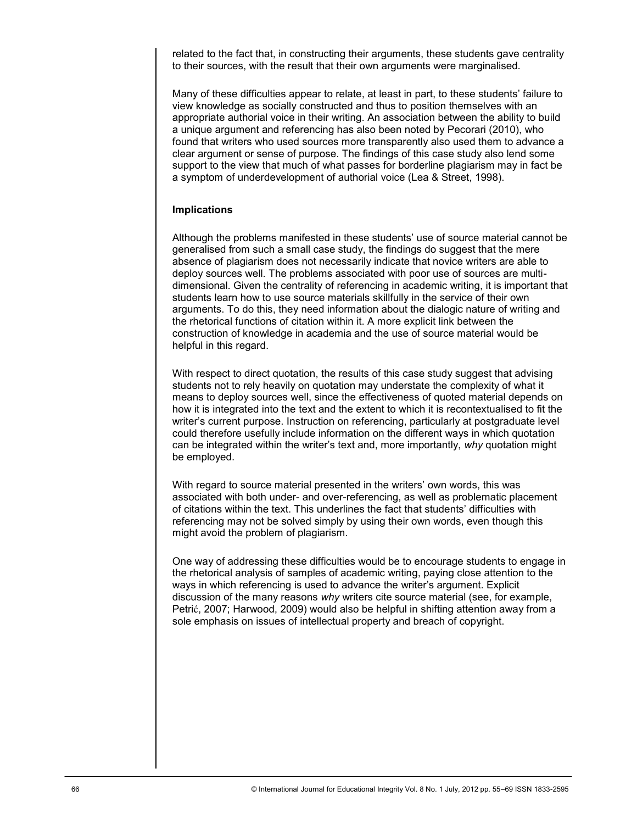related to the fact that, in constructing their arguments, these students gave centrality to their sources, with the result that their own arguments were marginalised.

Many of these difficulties appear to relate, at least in part, to these students" failure to view knowledge as socially constructed and thus to position themselves with an appropriate authorial voice in their writing. An association between the ability to build a unique argument and referencing has also been noted by Pecorari (2010), who found that writers who used sources more transparently also used them to advance a clear argument or sense of purpose. The findings of this case study also lend some support to the view that much of what passes for borderline plagiarism may in fact be a symptom of underdevelopment of authorial voice (Lea & Street, 1998).

## **Implications**

Although the problems manifested in these students" use of source material cannot be generalised from such a small case study, the findings do suggest that the mere absence of plagiarism does not necessarily indicate that novice writers are able to deploy sources well. The problems associated with poor use of sources are multidimensional. Given the centrality of referencing in academic writing, it is important that students learn how to use source materials skillfully in the service of their own arguments. To do this, they need information about the dialogic nature of writing and the rhetorical functions of citation within it. A more explicit link between the construction of knowledge in academia and the use of source material would be helpful in this regard.

With respect to direct quotation, the results of this case study suggest that advising students not to rely heavily on quotation may understate the complexity of what it means to deploy sources well, since the effectiveness of quoted material depends on how it is integrated into the text and the extent to which it is recontextualised to fit the writer"s current purpose. Instruction on referencing, particularly at postgraduate level could therefore usefully include information on the different ways in which quotation can be integrated within the writer"s text and, more importantly, *why* quotation might be employed.

With regard to source material presented in the writers' own words, this was associated with both under- and over-referencing, as well as problematic placement of citations within the text. This underlines the fact that students" difficulties with referencing may not be solved simply by using their own words, even though this might avoid the problem of plagiarism.

One way of addressing these difficulties would be to encourage students to engage in the rhetorical analysis of samples of academic writing, paying close attention to the ways in which referencing is used to advance the writer"s argument. Explicit discussion of the many reasons *why* writers cite source material (see, for example, Petrić, 2007; Harwood, 2009) would also be helpful in shifting attention away from a sole emphasis on issues of intellectual property and breach of copyright.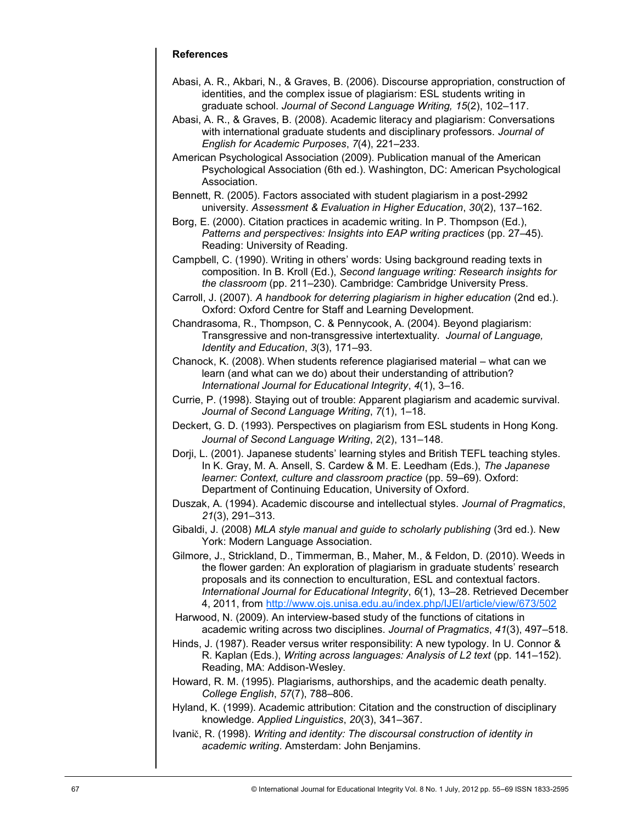# **References**

- Abasi, A. R., Akbari, N., & Graves, B. (2006). Discourse appropriation, construction of identities, and the complex issue of plagiarism: ESL students writing in graduate school. *Journal of Second Language Writing, 15*(2), 102–117.
- Abasi, A. R., & Graves, B. (2008). Academic literacy and plagiarism: Conversations with international graduate students and disciplinary professors. *Journal of English for Academic Purposes*, *7*(4), 221–233.
- American Psychological Association (2009). Publication manual of the American Psychological Association (6th ed.). Washington, DC: American Psychological Association.
- Bennett, R. (2005). Factors associated with student plagiarism in a post-2992 university. *Assessment & Evaluation in Higher Education*, *30*(2), 137–162.
- Borg, E. (2000). Citation practices in academic writing. In P. Thompson (Ed.), *Patterns and perspectives: Insights into EAP writing practices* (pp. 27–45). Reading: University of Reading.
- Campbell, C. (1990). Writing in others" words: Using background reading texts in composition. In B. Kroll (Ed.), *Second language writing: Research insights for the classroom* (pp. 211–230). Cambridge: Cambridge University Press.
- Carroll, J. (2007). A handbook for deterring plagiarism in higher education (2nd ed.). Oxford: Oxford Centre for Staff and Learning Development.
- Chandrasoma, R., Thompson, C. & Pennycook, A. (2004). Beyond plagiarism: Transgressive and non-transgressive intertextuality. *Journal of Language, Identity and Education*, *3*(3), 171–93.
- Chanock, K. (2008). When students reference plagiarised material what can we learn (and what can we do) about their understanding of attribution? *International Journal for Educational Integrity*, *4*(1), 3–16.
- Currie, P. (1998). Staying out of trouble: Apparent plagiarism and academic survival. *Journal of Second Language Writing*, *7*(1), 1–18.
- Deckert, G. D. (1993). Perspectives on plagiarism from ESL students in Hong Kong. *Journal of Second Language Writing*, *2*(2), 131–148.
- Dorji, L. (2001). Japanese students" learning styles and British TEFL teaching styles. In K. Gray, M. A. Ansell, S. Cardew & M. E. Leedham (Eds.), *The Japanese learner: Context, culture and classroom practice (pp. 59–69). Oxford:* Department of Continuing Education, University of Oxford.
- Duszak, A. (1994). Academic discourse and intellectual styles. *Journal of Pragmatics*, *21*(3), 291–313.
- Gibaldi, J. (2008) *MLA style manual and guide to scholarly publishing* (3rd ed.). New York: Modern Language Association.
- Gilmore, J., Strickland, D., Timmerman, B., Maher, M., & Feldon, D. (2010). Weeds in the flower garden: An exploration of plagiarism in graduate students' research proposals and its connection to enculturation, ESL and contextual factors. *International Journal for Educational Integrity*, *6*(1), 13–28. Retrieved December 4, 2011, from <http://www.ojs.unisa.edu.au/index.php/IJEI/article/view/673/502>
- Harwood, N. (2009). An interview-based study of the functions of citations in academic writing across two disciplines. *Journal of Pragmatics*, *41*(3), 497–518.
- Hinds, J. (1987). Reader versus writer responsibility: A new typology. In U. Connor & R. Kaplan (Eds.), *Writing across languages: Analysis of L2 text* (pp. 141–152). Reading, MA: Addison-Wesley.
- Howard, R. M. (1995). Plagiarisms, authorships, and the academic death penalty. *College English*, *57*(7), 788–806.
- Hyland, K. (1999). Academic attribution: Citation and the construction of disciplinary knowledge. *Applied Linguistics*, *20*(3), 341–367.
- Ivanič, R. (1998). *Writing and identity: The discoursal construction of identity in academic writing*. Amsterdam: John Benjamins.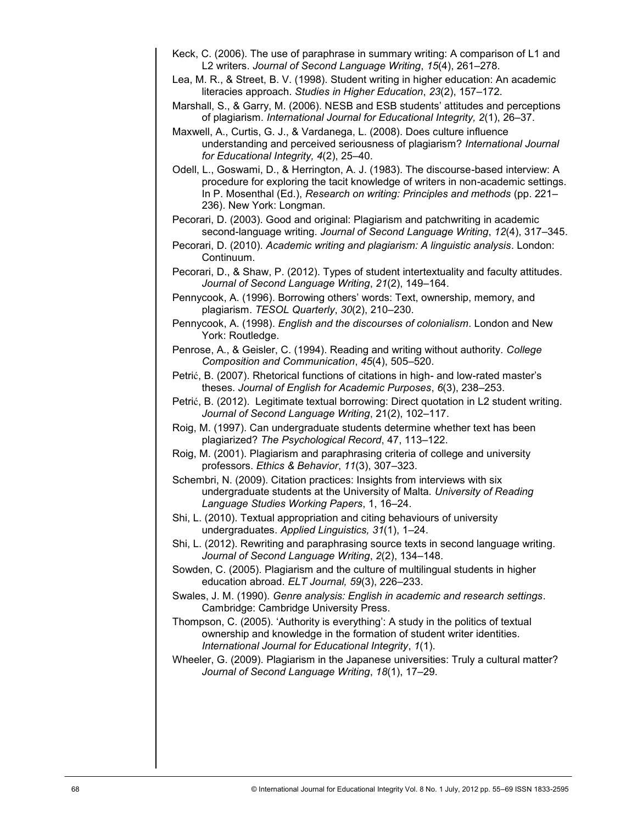- Keck, C. (2006). The use of paraphrase in summary writing: A comparison of L1 and L2 writers. *Journal of Second Language Writing*, *15*(4), 261–278.
- Lea, M. R., & Street, B. V. (1998). Student writing in higher education: An academic literacies approach. *Studies in Higher Education*, *23*(2), 157–172.
- Marshall, S., & Garry, M. (2006). NESB and ESB students" attitudes and perceptions of plagiarism. *International Journal for Educational Integrity, 2*(1), 26–37.
- Maxwell, A., Curtis, G. J., & Vardanega, L. (2008). Does culture influence understanding and perceived seriousness of plagiarism? *International Journal for Educational Integrity, 4*(2), 25–40.
- Odell, L., Goswami, D., & Herrington, A. J. (1983). The discourse-based interview: A procedure for exploring the tacit knowledge of writers in non-academic settings. In P. Mosenthal (Ed.), *Research on writing: Principles and methods* (pp. 221– 236). New York: Longman.

Pecorari, D. (2003). Good and original: Plagiarism and patchwriting in academic second-language writing. *Journal of Second Language Writing*, *12*(4), 317–345.

Pecorari, D. (2010). *Academic writing and plagiarism: A linguistic analysis*. London: Continuum.

Pecorari, D., & Shaw, P. (2012). Types of student intertextuality and faculty attitudes. *Journal of Second Language Writing*, *21*(2), 149–164.

Pennycook, A. (1996). Borrowing others' words: Text, ownership, memory, and plagiarism. *TESOL Quarterly*, *30*(2), 210–230.

Pennycook, A. (1998). *English and the discourses of colonialism*. London and New York: Routledge.

Penrose, A., & Geisler, C. (1994). Reading and writing without authority. *College Composition and Communication*, *45*(4), 505–520.

Petrić, B. (2007). Rhetorical functions of citations in high- and low-rated master"s theses. *Journal of English for Academic Purposes*, *6*(3), 238–253.

Petrić, B. (2012). Legitimate textual borrowing: Direct quotation in L2 student writing. *Journal of Second Language Writing*, 21(2), 102–117.

- Roig, M. (1997). Can undergraduate students determine whether text has been plagiarized? *The Psychological Record*, 47, 113–122.
- Roig, M. (2001). Plagiarism and paraphrasing criteria of college and university professors. *Ethics & Behavior*, *11*(3), 307–323.

Schembri, N. (2009). Citation practices: Insights from interviews with six undergraduate students at the University of Malta. *University of Reading Language Studies Working Papers*, 1, 16–24.

- Shi, L. (2010). Textual appropriation and citing behaviours of university undergraduates. *Applied Linguistics, 31*(1), 1–24.
- Shi, L. (2012). Rewriting and paraphrasing source texts in second language writing. *Journal of Second Language Writing*, *2*(2), 134–148.
- Sowden, C. (2005). Plagiarism and the culture of multilingual students in higher education abroad. *ELT Journal, 59*(3), 226–233.
- Swales, J. M. (1990). *Genre analysis: English in academic and research settings*. Cambridge: Cambridge University Press.
- Thompson, C. (2005). "Authority is everything": A study in the politics of textual ownership and knowledge in the formation of student writer identities. *International Journal for Educational Integrity*, *1*(1).
- Wheeler, G. (2009). Plagiarism in the Japanese universities: Truly a cultural matter? *Journal of Second Language Writing*, *18*(1), 17–29.